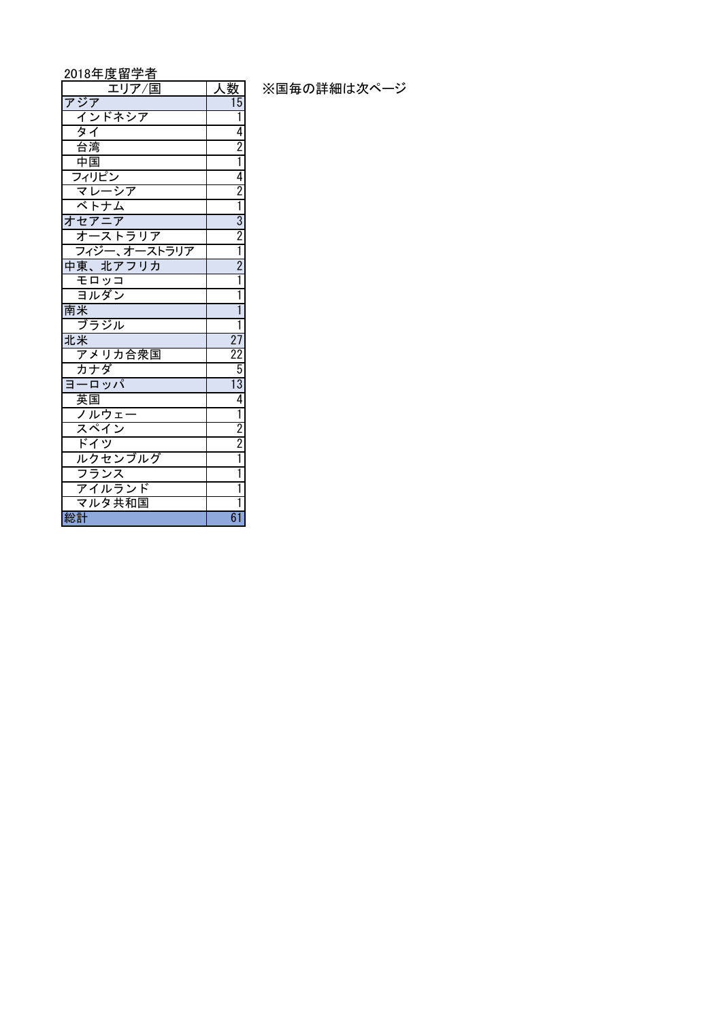## 2018年度留学者

| エリア / 国                                 | <u>人议</u>                                                                           |
|-----------------------------------------|-------------------------------------------------------------------------------------|
| アジア                                     | 15                                                                                  |
| インドネシア                                  | Ī                                                                                   |
| タイ                                      | 4                                                                                   |
| 台湾                                      |                                                                                     |
|                                         | $\frac{2}{1}$                                                                       |
| <u>中国</u><br>フィリピン                      |                                                                                     |
| マレーシ                                    |                                                                                     |
| ベトナム                                    | $\frac{2}{1}$ $\frac{1}{3}$ $\frac{2}{2}$ $\frac{1}{1}$ $\frac{2}{2}$ $\frac{1}{1}$ |
| オセアニア                                   |                                                                                     |
| オーストラリア                                 |                                                                                     |
| -<br>フィジー、オーストラリア                       |                                                                                     |
| <mark>中東、北アフリカ</mark>                   |                                                                                     |
| モロッコ                                    |                                                                                     |
| ヨルダン                                    | Ī                                                                                   |
| 南米                                      | Ī                                                                                   |
| ブラジル                                    | Ī                                                                                   |
| <u>北米</u>                               | $\frac{27}{22}$                                                                     |
| アメリカ合衆国                                 |                                                                                     |
| カナダ                                     |                                                                                     |
| ヨーロッパ                                   | $\frac{13}{4}$                                                                      |
|                                         |                                                                                     |
| <u>英国</u><br>ノルウェー                      | $\frac{1}{2}$ $\frac{2}{1}$                                                         |
|                                         |                                                                                     |
|                                         |                                                                                     |
| ・・・ -<br>スペイン<br>ドイツ<br>ルクセンブルグ<br>フランス |                                                                                     |
|                                         | Ī                                                                                   |
| アイルランド                                  | Ī                                                                                   |
| マルタ共和国                                  | ī                                                                                   |
| 総計                                      | $\overline{61}$                                                                     |

<u>| 人数</u> | ※国毎の詳細は次ページ